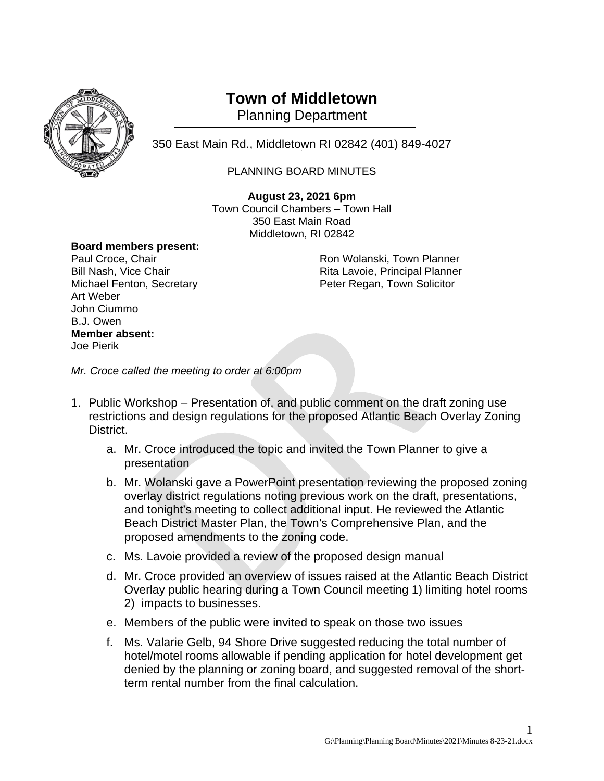

## **Town of Middletown**

Planning Department

350 East Main Rd., Middletown RI 02842 (401) 849-4027 <sup>1</sup>

## PLANNING BOARD MINUTES

**August 23, 2021 6pm** Town Council Chambers – Town Hall 350 East Main Road Middletown, RI 02842

## **Board members present:**

Art Weber John Ciummo B.J. Owen **Member absent:** Joe Pierik

Ron Wolanski, Town Planner Bill Nash, Vice Chair **Rita Lavoie, Principal Planner** Rita Lavoie, Principal Planner Michael Fenton, Secretary **Peter Regan, Town Solicitor** Peter Regan, Town Solicitor

*Mr. Croce called the meeting to order at 6:00pm*

- 1. Public Workshop Presentation of, and public comment on the draft zoning use restrictions and design regulations for the proposed Atlantic Beach Overlay Zoning District.
	- a. Mr. Croce introduced the topic and invited the Town Planner to give a presentation
	- b. Mr. Wolanski gave a PowerPoint presentation reviewing the proposed zoning overlay district regulations noting previous work on the draft, presentations, and tonight's meeting to collect additional input. He reviewed the Atlantic Beach District Master Plan, the Town's Comprehensive Plan, and the proposed amendments to the zoning code.
	- c. Ms. Lavoie provided a review of the proposed design manual
	- d. Mr. Croce provided an overview of issues raised at the Atlantic Beach District Overlay public hearing during a Town Council meeting 1) limiting hotel rooms 2) impacts to businesses.
	- e. Members of the public were invited to speak on those two issues
	- f. Ms. Valarie Gelb, 94 Shore Drive suggested reducing the total number of hotel/motel rooms allowable if pending application for hotel development get denied by the planning or zoning board, and suggested removal of the shortterm rental number from the final calculation.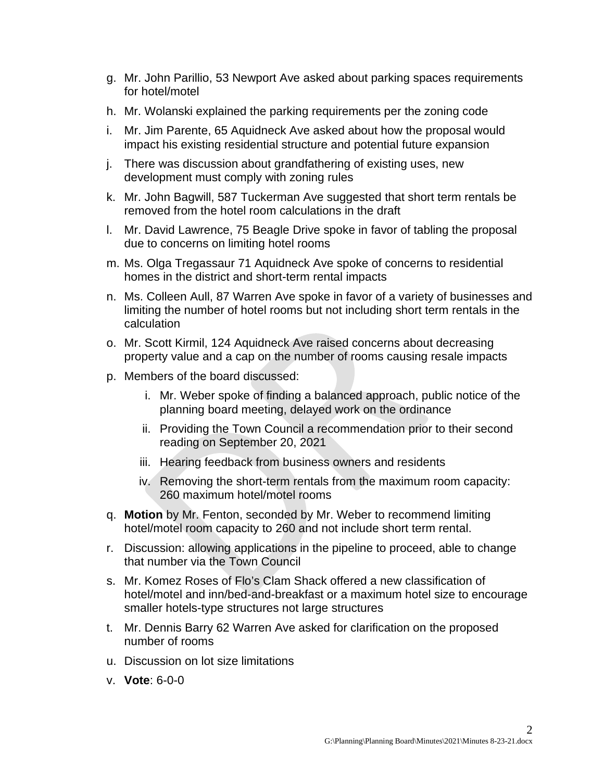- g. Mr. John Parillio, 53 Newport Ave asked about parking spaces requirements for hotel/motel
- h. Mr. Wolanski explained the parking requirements per the zoning code
- i. Mr. Jim Parente, 65 Aquidneck Ave asked about how the proposal would impact his existing residential structure and potential future expansion
- j. There was discussion about grandfathering of existing uses, new development must comply with zoning rules
- k. Mr. John Bagwill, 587 Tuckerman Ave suggested that short term rentals be removed from the hotel room calculations in the draft
- l. Mr. David Lawrence, 75 Beagle Drive spoke in favor of tabling the proposal due to concerns on limiting hotel rooms
- m. Ms. Olga Tregassaur 71 Aquidneck Ave spoke of concerns to residential homes in the district and short-term rental impacts
- n. Ms. Colleen Aull, 87 Warren Ave spoke in favor of a variety of businesses and limiting the number of hotel rooms but not including short term rentals in the calculation
- o. Mr. Scott Kirmil, 124 Aquidneck Ave raised concerns about decreasing property value and a cap on the number of rooms causing resale impacts
- p. Members of the board discussed:
	- i. Mr. Weber spoke of finding a balanced approach, public notice of the planning board meeting, delayed work on the ordinance
	- ii. Providing the Town Council a recommendation prior to their second reading on September 20, 2021
	- iii. Hearing feedback from business owners and residents
	- iv. Removing the short-term rentals from the maximum room capacity: 260 maximum hotel/motel rooms
- q. **Motion** by Mr. Fenton, seconded by Mr. Weber to recommend limiting hotel/motel room capacity to 260 and not include short term rental.
- r. Discussion: allowing applications in the pipeline to proceed, able to change that number via the Town Council
- s. Mr. Komez Roses of Flo's Clam Shack offered a new classification of hotel/motel and inn/bed-and-breakfast or a maximum hotel size to encourage smaller hotels-type structures not large structures
- t. Mr. Dennis Barry 62 Warren Ave asked for clarification on the proposed number of rooms
- u. Discussion on lot size limitations
- v. **Vote**: 6-0-0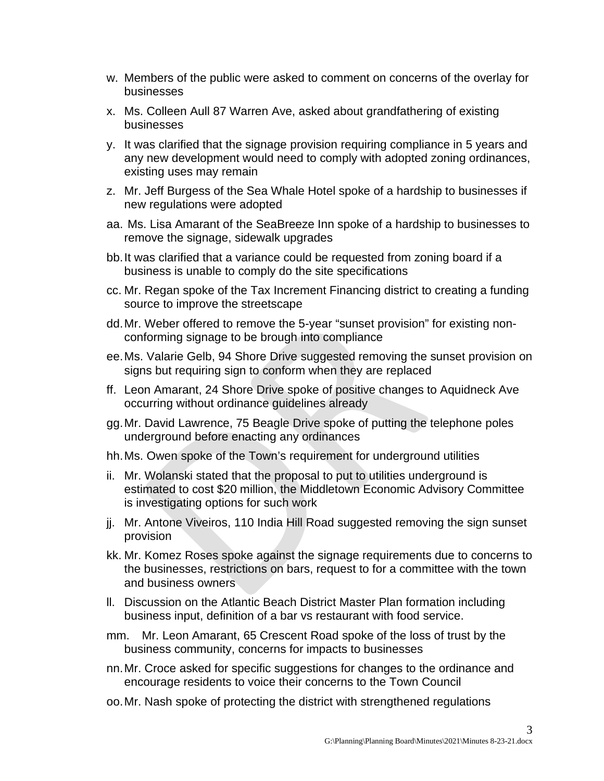- w. Members of the public were asked to comment on concerns of the overlay for businesses
- x. Ms. Colleen Aull 87 Warren Ave, asked about grandfathering of existing businesses
- y. It was clarified that the signage provision requiring compliance in 5 years and any new development would need to comply with adopted zoning ordinances, existing uses may remain
- z. Mr. Jeff Burgess of the Sea Whale Hotel spoke of a hardship to businesses if new regulations were adopted
- aa. Ms. Lisa Amarant of the SeaBreeze Inn spoke of a hardship to businesses to remove the signage, sidewalk upgrades
- bb.It was clarified that a variance could be requested from zoning board if a business is unable to comply do the site specifications
- cc. Mr. Regan spoke of the Tax Increment Financing district to creating a funding source to improve the streetscape
- dd.Mr. Weber offered to remove the 5-year "sunset provision" for existing nonconforming signage to be brough into compliance
- ee.Ms. Valarie Gelb, 94 Shore Drive suggested removing the sunset provision on signs but requiring sign to conform when they are replaced
- ff. Leon Amarant, 24 Shore Drive spoke of positive changes to Aquidneck Ave occurring without ordinance guidelines already
- gg.Mr. David Lawrence, 75 Beagle Drive spoke of putting the telephone poles underground before enacting any ordinances
- hh.Ms. Owen spoke of the Town's requirement for underground utilities
- ii. Mr. Wolanski stated that the proposal to put to utilities underground is estimated to cost \$20 million, the Middletown Economic Advisory Committee is investigating options for such work
- jj. Mr. Antone Viveiros, 110 India Hill Road suggested removing the sign sunset provision
- kk. Mr. Komez Roses spoke against the signage requirements due to concerns to the businesses, restrictions on bars, request to for a committee with the town and business owners
- ll. Discussion on the Atlantic Beach District Master Plan formation including business input, definition of a bar vs restaurant with food service.
- mm. Mr. Leon Amarant, 65 Crescent Road spoke of the loss of trust by the business community, concerns for impacts to businesses
- nn.Mr. Croce asked for specific suggestions for changes to the ordinance and encourage residents to voice their concerns to the Town Council
- oo.Mr. Nash spoke of protecting the district with strengthened regulations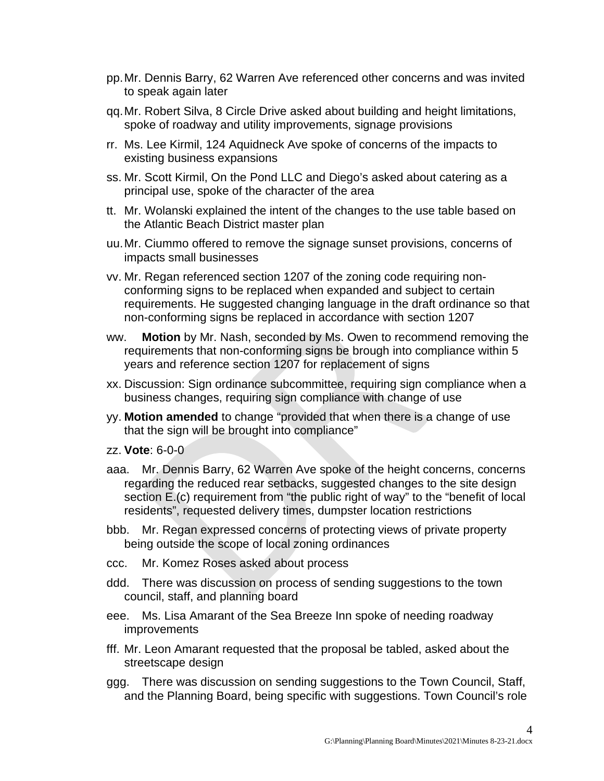- pp.Mr. Dennis Barry, 62 Warren Ave referenced other concerns and was invited to speak again later
- qq.Mr. Robert Silva, 8 Circle Drive asked about building and height limitations, spoke of roadway and utility improvements, signage provisions
- rr. Ms. Lee Kirmil, 124 Aquidneck Ave spoke of concerns of the impacts to existing business expansions
- ss. Mr. Scott Kirmil, On the Pond LLC and Diego's asked about catering as a principal use, spoke of the character of the area
- tt. Mr. Wolanski explained the intent of the changes to the use table based on the Atlantic Beach District master plan
- uu.Mr. Ciummo offered to remove the signage sunset provisions, concerns of impacts small businesses
- vv. Mr. Regan referenced section 1207 of the zoning code requiring nonconforming signs to be replaced when expanded and subject to certain requirements. He suggested changing language in the draft ordinance so that non-conforming signs be replaced in accordance with section 1207
- ww. **Motion** by Mr. Nash, seconded by Ms. Owen to recommend removing the requirements that non-conforming signs be brough into compliance within 5 years and reference section 1207 for replacement of signs
- xx. Discussion: Sign ordinance subcommittee, requiring sign compliance when a business changes, requiring sign compliance with change of use
- yy. **Motion amended** to change "provided that when there is a change of use that the sign will be brought into compliance"
- zz. **Vote**: 6-0-0
- aaa. Mr. Dennis Barry, 62 Warren Ave spoke of the height concerns, concerns regarding the reduced rear setbacks, suggested changes to the site design section E.(c) requirement from "the public right of way" to the "benefit of local residents", requested delivery times, dumpster location restrictions
- bbb. Mr. Regan expressed concerns of protecting views of private property being outside the scope of local zoning ordinances
- ccc. Mr. Komez Roses asked about process
- ddd. There was discussion on process of sending suggestions to the town council, staff, and planning board
- eee. Ms. Lisa Amarant of the Sea Breeze Inn spoke of needing roadway improvements
- fff. Mr. Leon Amarant requested that the proposal be tabled, asked about the streetscape design
- ggg. There was discussion on sending suggestions to the Town Council, Staff, and the Planning Board, being specific with suggestions. Town Council's role